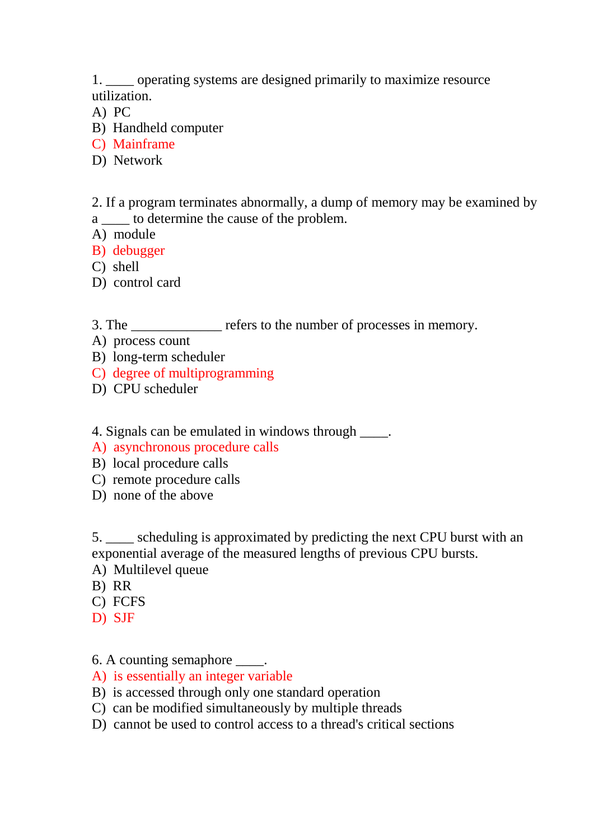1. \_\_\_\_ operating systems are designed primarily to maximize resource utilization.

- A) PC
- B) Handheld computer
- C) Mainframe
- D) Network

2. If a program terminates abnormally, a dump of memory may be examined by a \_\_\_\_ to determine the cause of the problem.

- A) module
- B) debugger
- C) shell
- D) control card
- 3. The refers to the number of processes in memory.
- A) process count
- B) long-term scheduler
- C) degree of multiprogramming
- D) CPU scheduler

4. Signals can be emulated in windows through  $\blacksquare$ .

- A) asynchronous procedure calls
- B) local procedure calls
- C) remote procedure calls
- D) none of the above

5. \_\_\_\_ scheduling is approximated by predicting the next CPU burst with an exponential average of the measured lengths of previous CPU bursts.

- A) Multilevel queue
- B) RR
- C) FCFS
- D) SJF

6. A counting semaphore  $\qquad$ .

- A) is essentially an integer variable
- B) is accessed through only one standard operation
- C) can be modified simultaneously by multiple threads
- D) cannot be used to control access to a thread's critical sections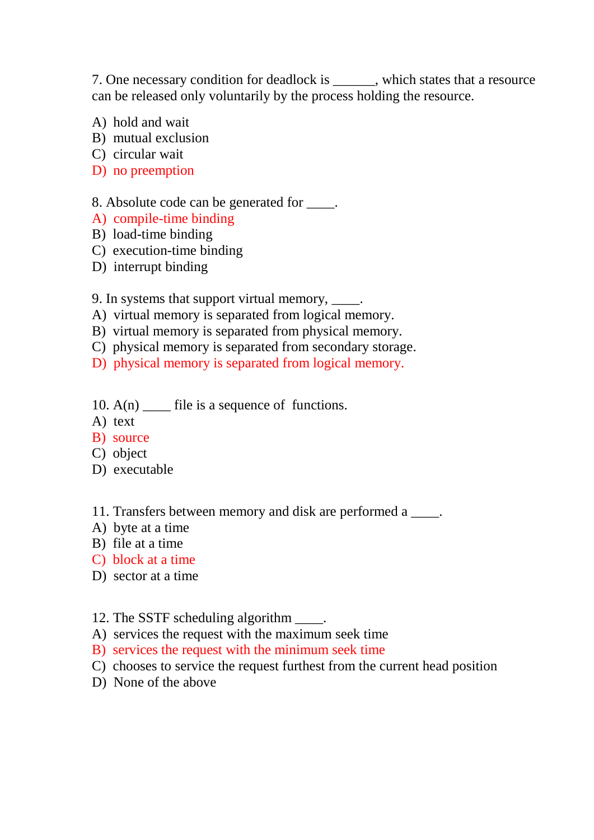7. One necessary condition for deadlock is \_\_\_\_\_\_, which states that a resource can be released only voluntarily by the process holding the resource.

- A) hold and wait
- B) mutual exclusion
- C) circular wait
- D) no preemption

### 8. Absolute code can be generated for \_\_\_\_.

- A) compile-time binding
- B) load-time binding
- C) execution-time binding
- D) interrupt binding

#### 9. In systems that support virtual memory, \_\_\_\_\_.

- A) virtual memory is separated from logical memory.
- B) virtual memory is separated from physical memory.
- C) physical memory is separated from secondary storage.
- D) physical memory is separated from logical memory.
- 10.  $A(n)$  file is a sequence of functions.
- A) text
- B) source
- C) object
- D) executable

# 11. Transfers between memory and disk are performed a \_\_\_\_.

- A) byte at a time
- B) file at a time
- C) block at a time
- D) sector at a time

#### 12. The SSTF scheduling algorithm \_\_\_\_.

- A) services the request with the maximum seek time
- B) services the request with the minimum seek time
- C) chooses to service the request furthest from the current head position
- D) None of the above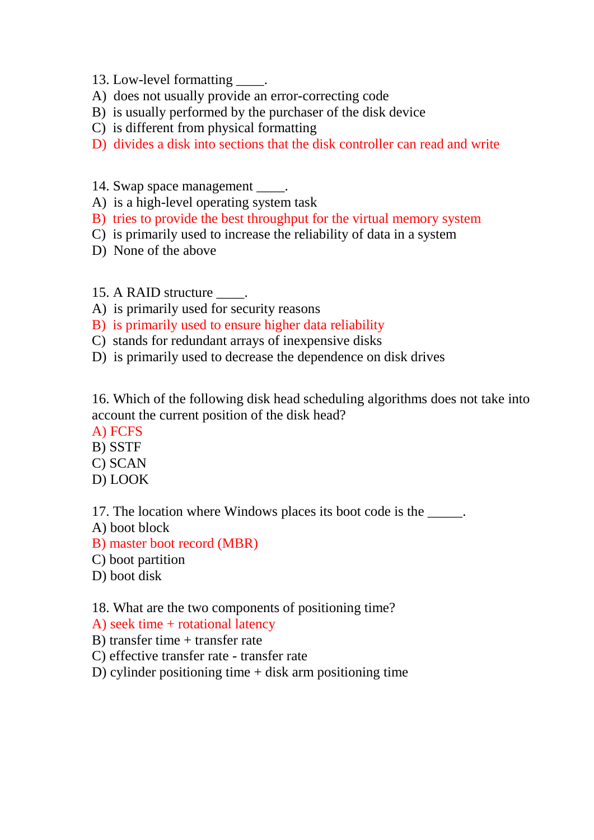- 13. Low-level formatting \_\_\_\_\_.
- A) does not usually provide an error-correcting code
- B) is usually performed by the purchaser of the disk device
- C) is different from physical formatting
- D) divides a disk into sections that the disk controller can read and write
- 14. Swap space management \_\_\_\_\_.
- A) is a high-level operating system task
- B) tries to provide the best throughput for the virtual memory system
- C) is primarily used to increase the reliability of data in a system
- D) None of the above
- 15. A RAID structure \_\_\_\_.
- A) is primarily used for security reasons
- B) is primarily used to ensure higher data reliability
- C) stands for redundant arrays of inexpensive disks
- D) is primarily used to decrease the dependence on disk drives

16. Which of the following disk head scheduling algorithms does not take into account the current position of the disk head?

- A) FCFS
- B) SSTF
- C) SCAN
- D) LOOK

17. The location where Windows places its boot code is the \_\_\_\_\_.

- A) boot block
- B) master boot record (MBR)
- C) boot partition
- D) boot disk

18. What are the two components of positioning time?

- A) seek time + rotational latency
- B) transfer time  $+$  transfer rate
- C) effective transfer rate transfer rate
- D) cylinder positioning time  $+$  disk arm positioning time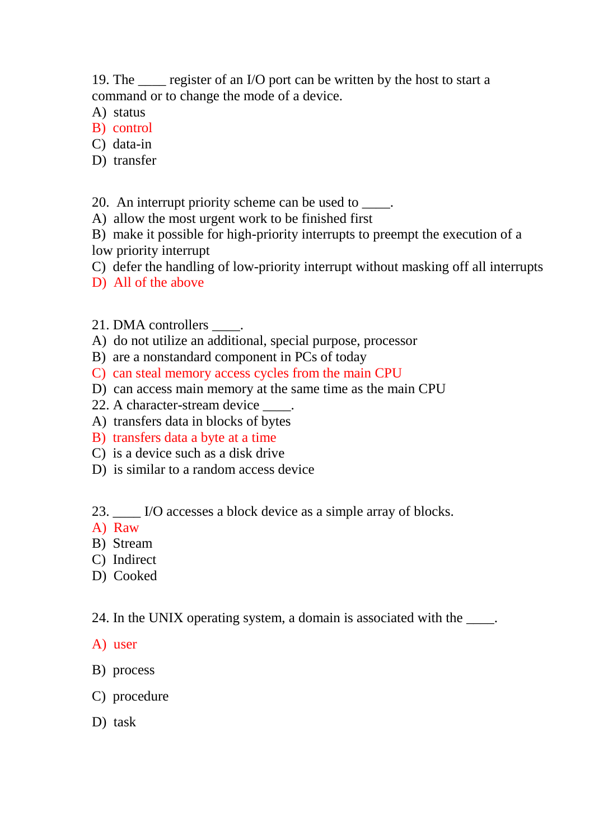19. The \_\_\_\_ register of an I/O port can be written by the host to start a command or to change the mode of a device.

- A) status
- B) control
- C) data-in
- D) transfer

## 20. An interrupt priority scheme can be used to  $\blacksquare$ .

- A) allow the most urgent work to be finished first
- B) make it possible for high-priority interrupts to preempt the execution of a low priority interrupt
- C) defer the handling of low-priority interrupt without masking off all interrupts
- D) All of the above
- 21. DMA controllers \_\_\_\_.
- A) do not utilize an additional, special purpose, processor
- B) are a nonstandard component in PCs of today
- C) can steal memory access cycles from the main CPU
- D) can access main memory at the same time as the main CPU
- 22. A character-stream device \_\_\_\_.
- A) transfers data in blocks of bytes
- B) transfers data a byte at a time
- C) is a device such as a disk drive
- D) is similar to a random access device

23. \_\_\_\_ I/O accesses a block device as a simple array of blocks.

- A) Raw
- B) Stream
- C) Indirect
- D) Cooked

24. In the UNIX operating system, a domain is associated with the \_\_\_\_.

A) user

- B) process
- C) procedure
- D) task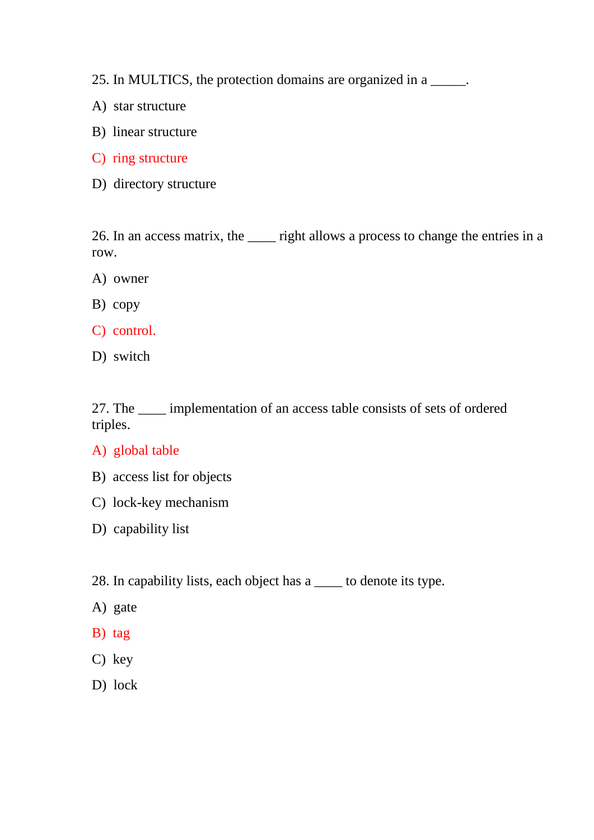- 25. In MULTICS, the protection domains are organized in a \_\_\_\_\_.
- A) star structure
- B) linear structure
- C) ring structure
- D) directory structure

26. In an access matrix, the \_\_\_\_ right allows a process to change the entries in a row.

- A) owner
- B) copy
- C) control.
- D) switch

27. The \_\_\_\_ implementation of an access table consists of sets of ordered triples.

- A) global table
- B) access list for objects
- C) lock-key mechanism
- D) capability list
- 28. In capability lists, each object has a \_\_\_\_ to denote its type.
- A) gate
- B) tag
- C) key
- D) lock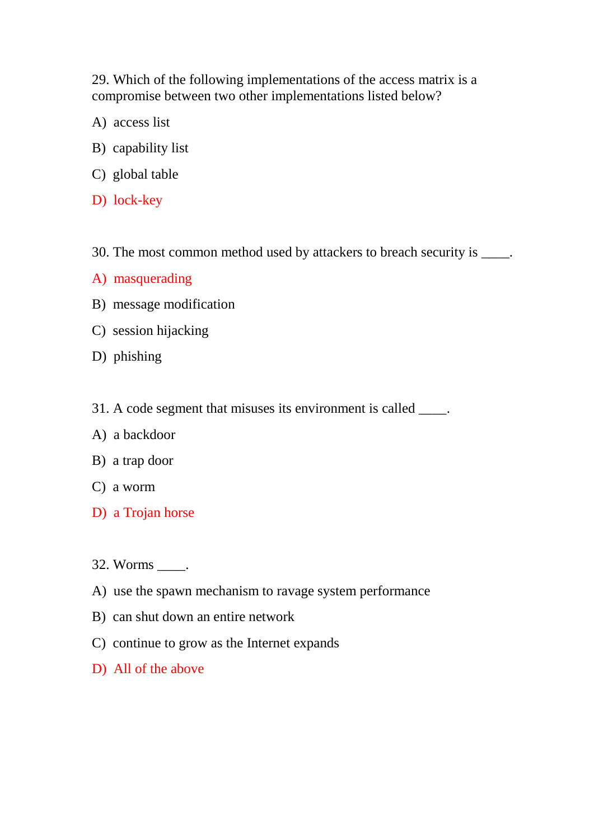29. Which of the following implementations of the access matrix is a compromise between two other implementations listed below?

- A) access list
- B) capability list
- C) global table
- D) lock-key
- 30. The most common method used by attackers to breach security is \_\_\_\_.
- A) masquerading
- B) message modification
- C) session hijacking
- D) phishing
- 31. A code segment that misuses its environment is called  $\qquad$ .
- A) a backdoor
- B) a trap door
- C) a worm
- D) a Trojan horse
- 32. Worms \_\_\_\_.
- A) use the spawn mechanism to ravage system performance
- B) can shut down an entire network
- C) continue to grow as the Internet expands
- D) All of the above